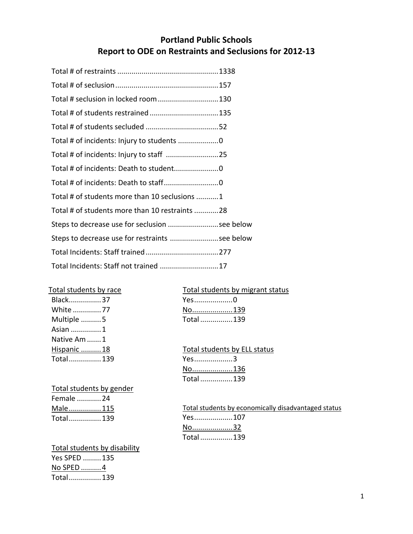# **Portland Public Schools Report to ODE on Restraints and Seclusions for 2012‐13**

| Total # of students restrained  135            |  |
|------------------------------------------------|--|
|                                                |  |
| Total # of incidents: Injury to students 0     |  |
|                                                |  |
|                                                |  |
|                                                |  |
| Total # of students more than 10 seclusions 1  |  |
| Total # of students more than 10 restraints 28 |  |
| Steps to decrease use for seclusion see below  |  |
| Steps to decrease use for restraints see below |  |
|                                                |  |
| Total Incidents: Staff not trained  17         |  |

Total students by gender Female ............24 Male................115 Total................139

Total students by disability Yes SPED .........135 No SPED ..........4 Total................139

|           | Total students by migrant status |
|-----------|----------------------------------|
| Yes0      |                                  |
| No139     |                                  |
| Total 139 |                                  |
|           |                                  |

| Total students by ELL status |  |
|------------------------------|--|
| Yes3                         |  |
| No136                        |  |
| Total  139                   |  |

Total students by economically disadvantaged status Yes...................107 No....................32 Total ................139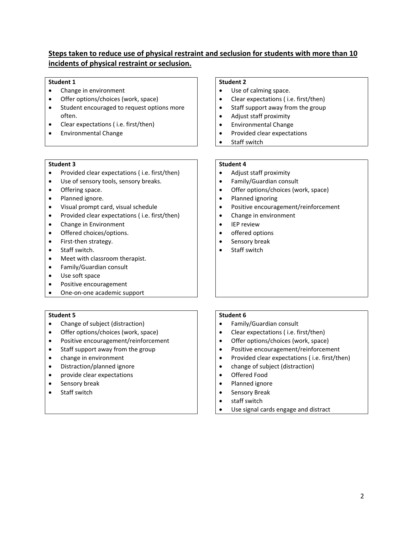## **Steps taken to reduce use of physical restraint and seclusion for students with more than 10 incidents of physical restraint or seclusion.**

#### **Student 1**

- Change in environment
- Offer options/choices (work, space)
- Student encouraged to request options more often.
- Clear expectations ( i.e. first/then)
- Environmental Change

#### **Student 3**

- Provided clear expectations ( i.e. first/then)
- Use of sensory tools, sensory breaks.
- Offering space.
- Planned ignore.
- Visual prompt card, visual schedule
- Provided clear expectations (i.e. first/then)
- Change in Environment
- Offered choices/options.
- First-then strategy.
- Staff switch.
- Meet with classroom therapist.
- Family/Guardian consult
- Use soft space
- Positive encouragement
- One-on-one academic support

#### **Student 5**

- Change of subject (distraction)
- Offer options/choices (work, space)
- Positive encouragement/reinforcement
- Staff support away from the group
- change in environment
- Distraction/planned ignore
- provide clear expectations
- Sensory break
- Staff switch

### **Student 2**

- Use of calming space.
- Clear expectations ( i.e. first/then)
- Staff support away from the group
- Adjust staff proximity
- Environmental Change
- Provided clear expectations
- Staff switch

#### **Student 4**

- Adjust staff proximity
- Family/Guardian consult
- Offer options/choices (work, space)
- Planned ignoring
- Positive encouragement/reinforcement
- Change in environment
- IEP review
- offered options
- Sensory break
- Staff switch

- Family/Guardian consult
- Clear expectations ( i.e. first/then)
- Offer options/choices (work, space)
- Positive encouragement/reinforcement
- Provided clear expectations ( i.e. first/then)
- change of subject (distraction)
- Offered Food
- Planned ignore
- **•** Sensory Break
- staff switch
- Use signal cards engage and distract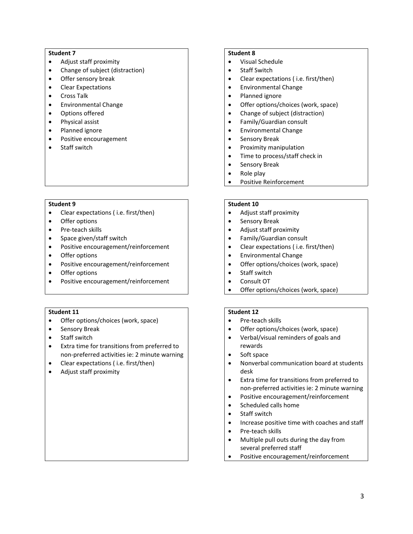- Adjust staff proximity
- Change of subject (distraction)
- Offer sensory break
- Clear Expectations
- Cross Talk
- **•** Environmental Change
- Options offered
- Physical assist
- Planned ignore
- Positive encouragement
- Staff switch

#### **Student 9**

- Clear expectations ( i.e. first/then)
- Offer options
- Pre‐teach skills
- Space given/staff switch
- Positive encouragement/reinforcement
- Offer options
- Positive encouragement/reinforcement
- Offer options
- Positive encouragement/reinforcement

#### **Student 11**

- Offer options/choices (work, space)
- **•** Sensory Break
- Staff switch
- Extra time for transitions from preferred to non‐preferred activities ie: 2 minute warning
- Clear expectations ( i.e. first/then)
- Adjust staff proximity

## **Student 8**

- Visual Schedule
- Staff Switch
- Clear expectations ( i.e. first/then)
- **•** Environmental Change
- Planned ignore
- Offer options/choices (work, space)
- Change of subject (distraction)
- Family/Guardian consult
- Environmental Change
- **•** Sensory Break
- Proximity manipulation
- Time to process/staff check in
- **•** Sensory Break
- Role play
- Positive Reinforcement

## **Student 10**

- Adjust staff proximity
- **•** Sensory Break
- Adjust staff proximity
- Family/Guardian consult
- Clear expectations ( i.e. first/then)
- Environmental Change
- Offer options/choices (work, space)
- Staff switch
- Consult OT
- Offer options/choices (work, space)

- Pre-teach skills
- Offer options/choices (work, space)
- Verbal/visual reminders of goals and rewards
- Soft space
- Nonverbal communication board at students desk
- Extra time for transitions from preferred to non‐preferred activities ie: 2 minute warning
- Positive encouragement/reinforcement
- Scheduled calls home
- Staff switch
- Increase positive time with coaches and staff
- Pre-teach skills
- Multiple pull outs during the day from several preferred staff
- Positive encouragement/reinforcement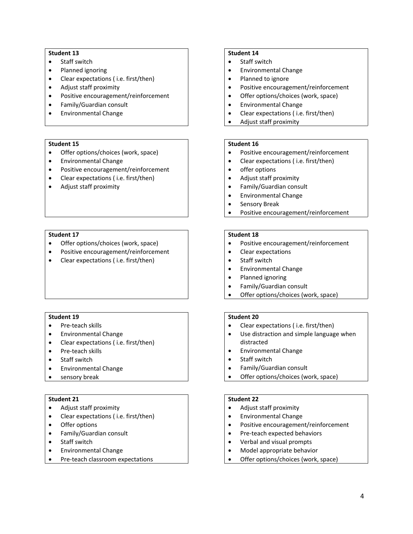- Staff switch
- Planned ignoring
- Clear expectations ( i.e. first/then)
- Adjust staff proximity
- Positive encouragement/reinforcement
- Family/Guardian consult
- Environmental Change

#### **Student 15**

- Offer options/choices (work, space)
- Environmental Change
- Positive encouragement/reinforcement
- Clear expectations ( i.e. first/then)
- Adjust staff proximity

#### **Student 17**

- Offer options/choices (work, space)
- Positive encouragement/reinforcement
- Clear expectations ( i.e. first/then)

#### **Student 19**

- Pre-teach skills
- Environmental Change
- Clear expectations ( i.e. first/then)
- Pre-teach skills
- Staff switch
- Environmental Change
- sensory break

#### **Student 21**

- Adjust staff proximity
- Clear expectations ( i.e. first/then)
- Offer options
- Family/Guardian consult
- Staff switch
- Environmental Change
- Pre‐teach classroom expectations

#### **Student 14**

- Staff switch
- **•** Environmental Change
- Planned to ignore
- Positive encouragement/reinforcement
- Offer options/choices (work, space)
- Environmental Change
- Clear expectations ( i.e. first/then)
- Adjust staff proximity

#### **Student 16**

- Positive encouragement/reinforcement
- Clear expectations ( i.e. first/then)
- offer options
- Adjust staff proximity
- Family/Guardian consult
- Environmental Change
- **•** Sensory Break
- Positive encouragement/reinforcement

#### **Student 18**

- Positive encouragement/reinforcement
- Clear expectations
- Staff switch
- Environmental Change
- Planned ignoring
- Family/Guardian consult
- Offer options/choices (work, space)

#### **Student 20**

- Clear expectations ( i.e. first/then)
- Use distraction and simple language when distracted
- **•** Environmental Change
- Staff switch
- Family/Guardian consult
- Offer options/choices (work, space)

- Adjust staff proximity
- **•** Environmental Change
- Positive encouragement/reinforcement
- Pre-teach expected behaviors
- Verbal and visual prompts
- Model appropriate behavior
- Offer options/choices (work, space)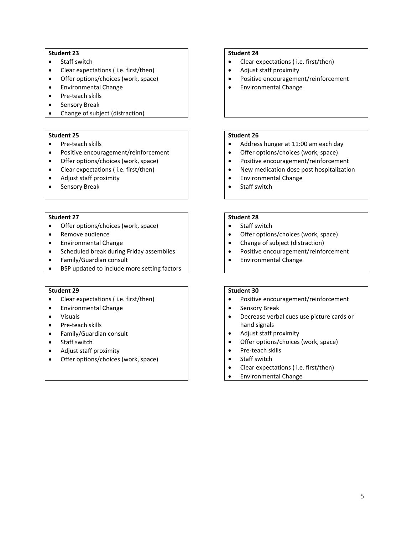- Staff switch
- Clear expectations ( i.e. first/then)
- Offer options/choices (work, space)
- Environmental Change
- Pre-teach skills
- **•** Sensory Break
- Change of subject (distraction)

#### **Student 25**

- Pre-teach skills
- Positive encouragement/reinforcement
- Offer options/choices (work, space)
- Clear expectations ( i.e. first/then)
- Adjust staff proximity
- Sensory Break

#### **Student 27**

- Offer options/choices (work, space)
- Remove audience
- **•** Environmental Change
- **•** Scheduled break during Friday assemblies
- Family/Guardian consult
- BSP updated to include more setting factors

#### **Student 29**

- Clear expectations ( i.e. first/then)
- **•** Environmental Change
- Visuals
- Pre-teach skills
- Family/Guardian consult
- Staff switch
- Adjust staff proximity
- Offer options/choices (work, space)

#### **Student 24**

- Clear expectations ( i.e. first/then)
- Adjust staff proximity
- Positive encouragement/reinforcement
- **•** Environmental Change

#### **Student 26**

- Address hunger at 11:00 am each day
- Offer options/choices (work, space)
- Positive encouragement/reinforcement
- New medication dose post hospitalization
- Environmental Change
- Staff switch

#### **Student 28**

- Staff switch
- Offer options/choices (work, space)
- Change of subject (distraction)
- Positive encouragement/reinforcement
- **•** Environmental Change

- Positive encouragement/reinforcement
- **•** Sensory Break
- Decrease verbal cues use picture cards or hand signals
- Adjust staff proximity
- Offer options/choices (work, space)
- Pre-teach skills
- Staff switch
- Clear expectations ( i.e. first/then)
- Environmental Change